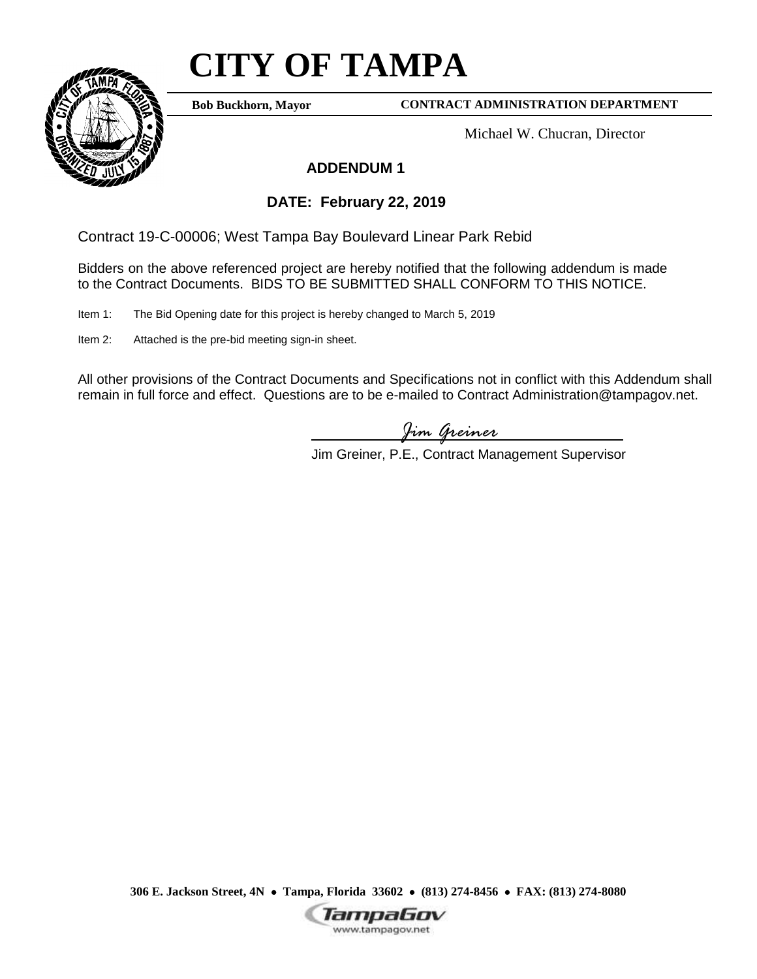## **CITY OF TAMPA**



**Bob Buckhorn, Mayor**

**CONTRACT ADMINISTRATION DEPARTMENT**

Michael W. Chucran, Director

## **ADDENDUM 1**

## **DATE: February 22, 2019**

Contract 19-C-00006; West Tampa Bay Boulevard Linear Park Rebid

Bidders on the above referenced project are hereby notified that the following addendum is made to the Contract Documents. BIDS TO BE SUBMITTED SHALL CONFORM TO THIS NOTICE.

Item 1: The Bid Opening date for this project is hereby changed to March 5, 2019

Item 2: Attached is the pre-bid meeting sign-in sheet.

All other provisions of the Contract Documents and Specifications not in conflict with this Addendum shall remain in full force and effect. Questions are to be e-mailed to Contract Administration@tampagov.net.

*Jim Greiner*

Jim Greiner, P.E., Contract Management Supervisor

**306 E. Jackson Street, 4N Tampa, Florida 33602 (813) 274-8456 FAX: (813) 274-8080**